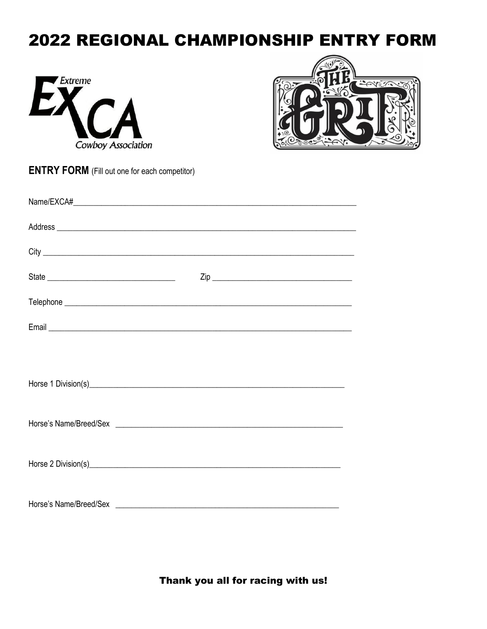## 2022 REGIONAL CHAMPIONSHIP ENTRY FORM





|  | <b>ENTRY FORM</b> (Fill out one for each competitor) |
|--|------------------------------------------------------|
|--|------------------------------------------------------|

Thank you all for racing with us!